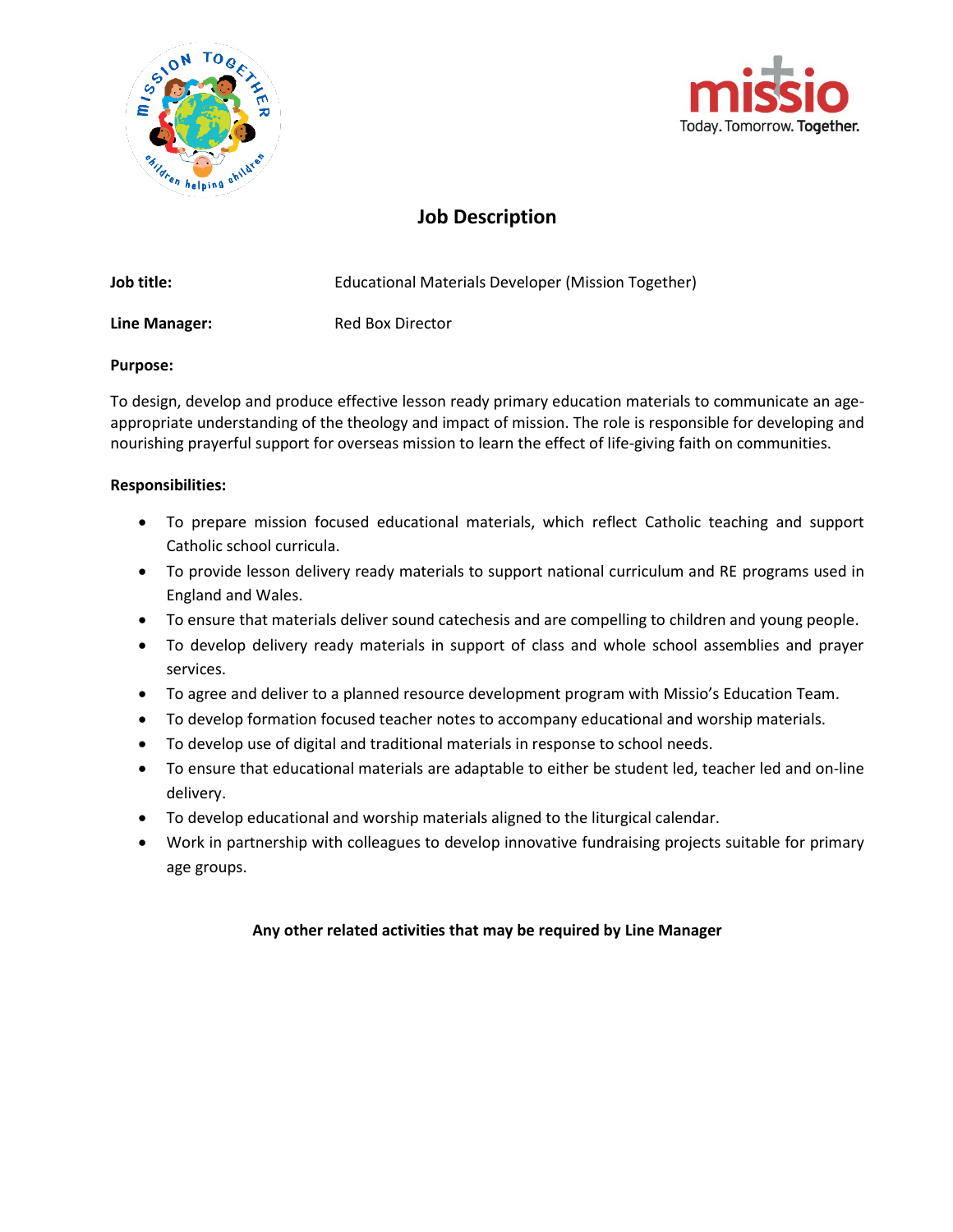



## **Job Description**

| Job title:    | Educational Materials Developer (Mission Together) |
|---------------|----------------------------------------------------|
| Line Manager: | Red Box Director                                   |

#### **Purpose:**

To design, develop and produce effective lesson ready primary education materials to communicate an ageappropriate understanding of the theology and impact of mission. The role is responsible for developing and nourishing prayerful support for overseas mission to learn the effect of life-giving faith on communities.

#### **Responsibilities:**

- To prepare mission focused educational materials, which reflect Catholic teaching and support Catholic school curricula.
- To provide lesson delivery ready materials to support national curriculum and RE programs used in England and Wales.
- To ensure that materials deliver sound catechesis and are compelling to children and young people.
- To develop delivery ready materials in support of class and whole school assemblies and prayer services.
- To agree and deliver to a planned resource development program with Missio's Education Team.
- To develop formation focused teacher notes to accompany educational and worship materials.
- To develop use of digital and traditional materials in response to school needs.
- To ensure that educational materials are adaptable to either be student led, teacher led and on-line delivery.
- To develop educational and worship materials aligned to the liturgical calendar.
- Work in partnership with colleagues to develop innovative fundraising projects suitable for primary age groups.

### **Any other related activities that may be required by Line Manager**